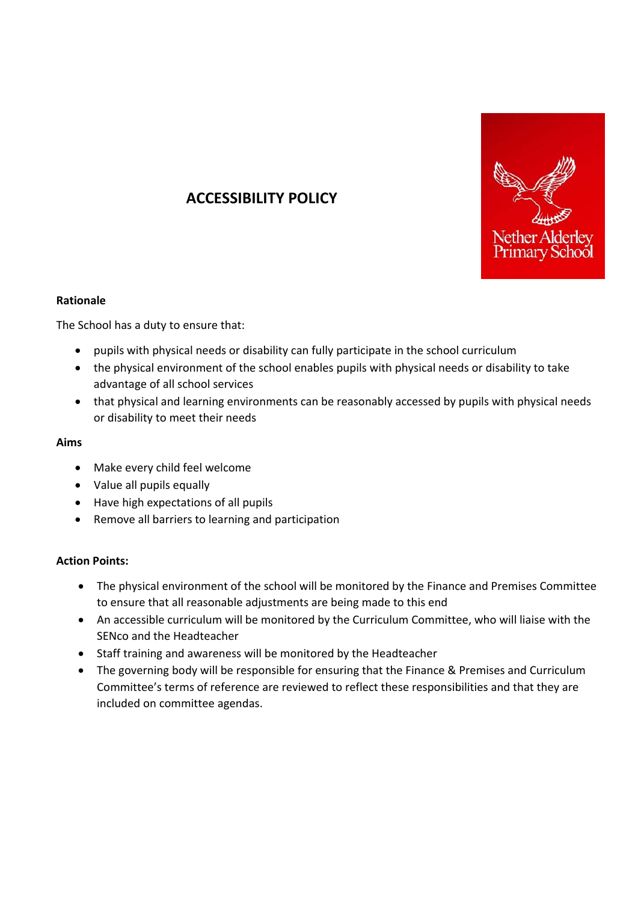

# **ACCESSIBILITY POLICY**

### **Rationale**

The School has a duty to ensure that:

- pupils with physical needs or disability can fully participate in the school curriculum
- the physical environment of the school enables pupils with physical needs or disability to take advantage of all school services
- that physical and learning environments can be reasonably accessed by pupils with physical needs or disability to meet their needs

#### **Aims**

- Make every child feel welcome
- Value all pupils equally
- Have high expectations of all pupils
- Remove all barriers to learning and participation

### **Action Points:**

- The physical environment of the school will be monitored by the Finance and Premises Committee to ensure that all reasonable adjustments are being made to this end
- An accessible curriculum will be monitored by the Curriculum Committee, who will liaise with the SENco and the Headteacher
- Staff training and awareness will be monitored by the Headteacher
- The governing body will be responsible for ensuring that the Finance & Premises and Curriculum Committee's terms of reference are reviewed to reflect these responsibilities and that they are included on committee agendas.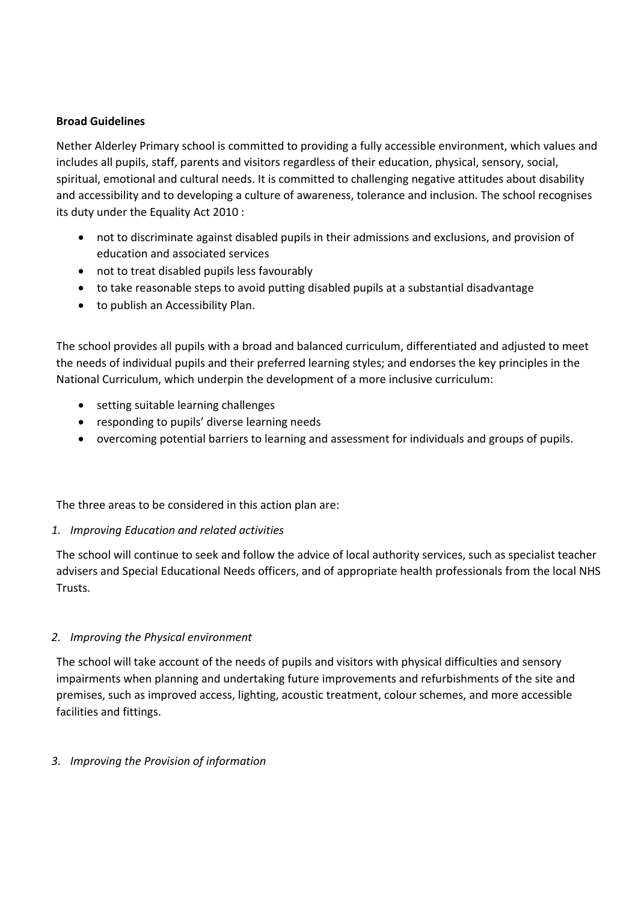## **Broad Guidelines**

Nether Alderley Primary school is committed to providing a fully accessible environment, which values and includes all pupils, staff, parents and visitors regardless of their education, physical, sensory, social, spiritual, emotional and cultural needs. It is committed to challenging negative attitudes about disability and accessibility and to developing a culture of awareness, tolerance and inclusion. The school recognises its duty under the Equality Act 2010 :

- not to discriminate against disabled pupils in their admissions and exclusions, and provision of education and associated services
- not to treat disabled pupils less favourably
- to take reasonable steps to avoid putting disabled pupils at a substantial disadvantage
- to publish an Accessibility Plan.

The school provides all pupils with a broad and balanced curriculum, differentiated and adjusted to meet the needs of individual pupils and their preferred learning styles; and endorses the key principles in the National Curriculum, which underpin the development of a more inclusive curriculum:

- setting suitable learning challenges
- responding to pupils' diverse learning needs
- overcoming potential barriers to learning and assessment for individuals and groups of pupils.

The three areas to be considered in this action plan are:

### *1. Improving Education and related activities*

The school will continue to seek and follow the advice of local authority services, such as specialist teacher advisers and Special Educational Needs officers, and of appropriate health professionals from the local NHS Trusts.

## *2. Improving the Physical environment*

The school will take account of the needs of pupils and visitors with physical difficulties and sensory impairments when planning and undertaking future improvements and refurbishments of the site and premises, such as improved access, lighting, acoustic treatment, colour schemes, and more accessible facilities and fittings.

## *3. Improving the Provision of information*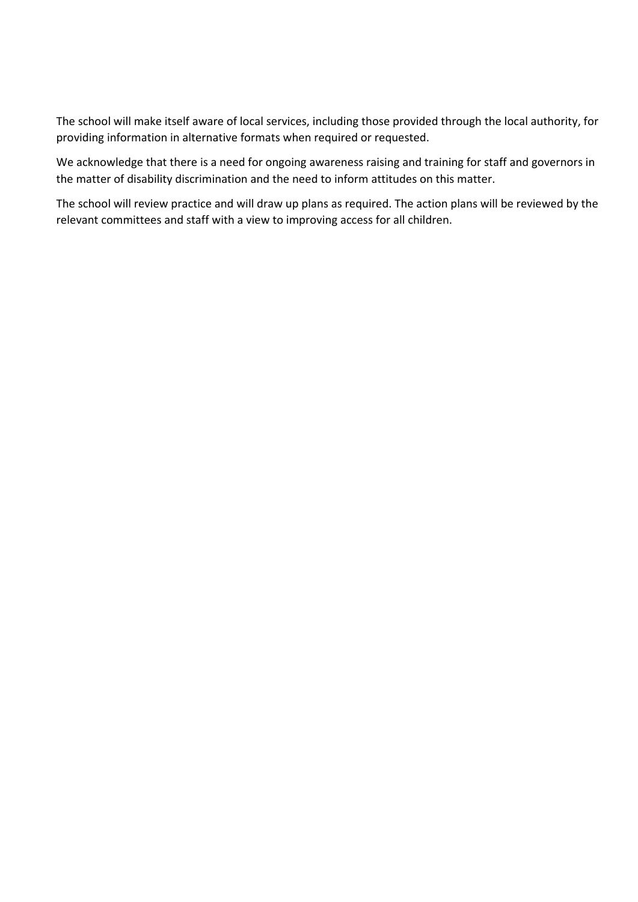The school will make itself aware of local services, including those provided through the local authority, for providing information in alternative formats when required or requested.

We acknowledge that there is a need for ongoing awareness raising and training for staff and governors in the matter of disability discrimination and the need to inform attitudes on this matter.

The school will review practice and will draw up plans as required. The action plans will be reviewed by the relevant committees and staff with a view to improving access for all children.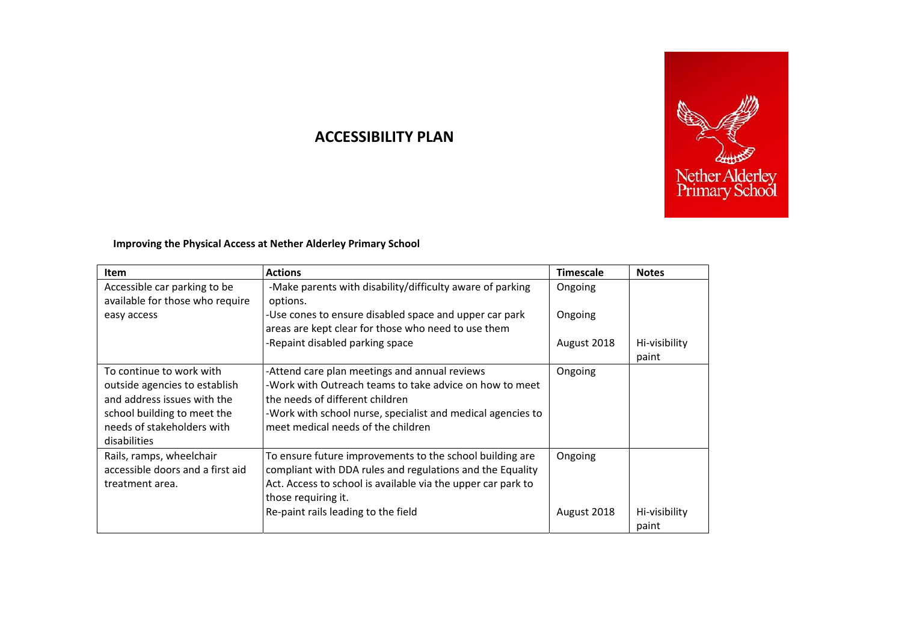

## **ACCESSIBILITY PLAN**

## **Improving the Physical Access at Nether Alderley Primary School**

| Item                                                                                                                                                                  | <b>Actions</b>                                                                                                                                                                                                                                      | <b>Timescale</b>       | <b>Notes</b>           |
|-----------------------------------------------------------------------------------------------------------------------------------------------------------------------|-----------------------------------------------------------------------------------------------------------------------------------------------------------------------------------------------------------------------------------------------------|------------------------|------------------------|
| Accessible car parking to be<br>available for those who require                                                                                                       | -Make parents with disability/difficulty aware of parking<br>options.                                                                                                                                                                               | Ongoing                |                        |
| easy access                                                                                                                                                           | -Use cones to ensure disabled space and upper car park<br>areas are kept clear for those who need to use them                                                                                                                                       | Ongoing                |                        |
|                                                                                                                                                                       | -Repaint disabled parking space                                                                                                                                                                                                                     | August 2018            | Hi-visibility<br>paint |
| To continue to work with<br>outside agencies to establish<br>and address issues with the<br>school building to meet the<br>needs of stakeholders with<br>disabilities | -Attend care plan meetings and annual reviews<br>-Work with Outreach teams to take advice on how to meet<br>lthe needs of different children<br>-Work with school nurse, specialist and medical agencies to<br>meet medical needs of the children   | Ongoing                |                        |
| Rails, ramps, wheelchair<br>accessible doors and a first aid<br>treatment area.                                                                                       | To ensure future improvements to the school building are<br>compliant with DDA rules and regulations and the Equality<br>Act. Access to school is available via the upper car park to<br>those requiring it.<br>Re-paint rails leading to the field | Ongoing<br>August 2018 | Hi-visibility          |
|                                                                                                                                                                       |                                                                                                                                                                                                                                                     |                        | paint                  |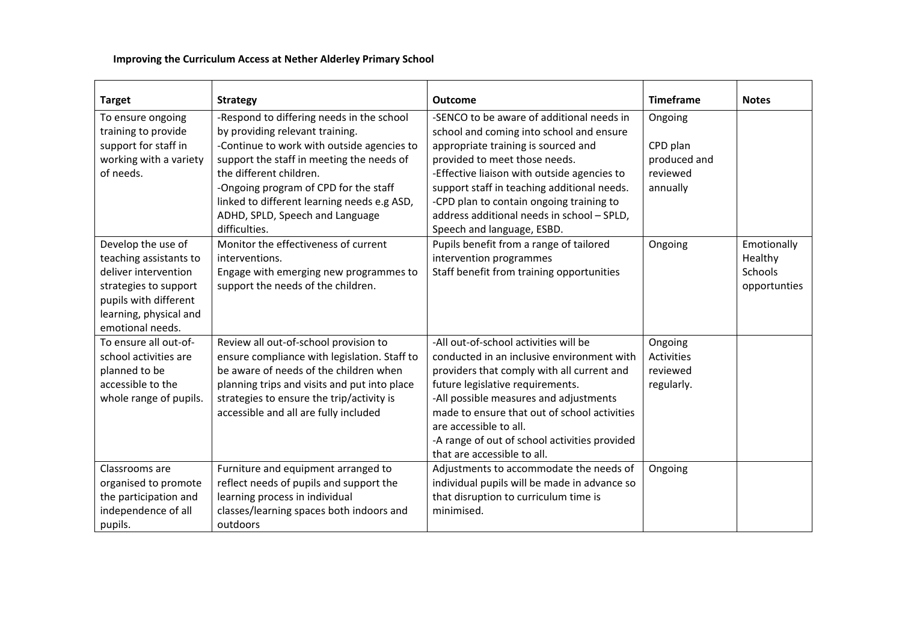## **Improving the Curriculum Access at Nether Alderley Primary School**

| <b>Target</b>                                                                                                                                                        | <b>Strategy</b>                                                                                                                                                                                                                                                                                                               | <b>Outcome</b>                                                                                                                                                                                                                                                                                                                                                            | <b>Timeframe</b>                                            | <b>Notes</b>                                             |
|----------------------------------------------------------------------------------------------------------------------------------------------------------------------|-------------------------------------------------------------------------------------------------------------------------------------------------------------------------------------------------------------------------------------------------------------------------------------------------------------------------------|---------------------------------------------------------------------------------------------------------------------------------------------------------------------------------------------------------------------------------------------------------------------------------------------------------------------------------------------------------------------------|-------------------------------------------------------------|----------------------------------------------------------|
| To ensure ongoing<br>training to provide<br>support for staff in<br>working with a variety<br>of needs.                                                              | -Respond to differing needs in the school<br>by providing relevant training.<br>-Continue to work with outside agencies to<br>support the staff in meeting the needs of<br>the different children.<br>-Ongoing program of CPD for the staff<br>linked to different learning needs e.g ASD,<br>ADHD, SPLD, Speech and Language | -SENCO to be aware of additional needs in<br>school and coming into school and ensure<br>appropriate training is sourced and<br>provided to meet those needs.<br>-Effective liaison with outside agencies to<br>support staff in teaching additional needs.<br>-CPD plan to contain ongoing training to<br>address additional needs in school - SPLD,                     | Ongoing<br>CPD plan<br>produced and<br>reviewed<br>annually |                                                          |
| Develop the use of<br>teaching assistants to<br>deliver intervention<br>strategies to support<br>pupils with different<br>learning, physical and<br>emotional needs. | difficulties.<br>Monitor the effectiveness of current<br>interventions.<br>Engage with emerging new programmes to<br>support the needs of the children.                                                                                                                                                                       | Speech and language, ESBD.<br>Pupils benefit from a range of tailored<br>intervention programmes<br>Staff benefit from training opportunities                                                                                                                                                                                                                             | Ongoing                                                     | Emotionally<br>Healthy<br><b>Schools</b><br>opportunties |
| To ensure all out-of-<br>school activities are<br>planned to be<br>accessible to the<br>whole range of pupils.                                                       | Review all out-of-school provision to<br>ensure compliance with legislation. Staff to<br>be aware of needs of the children when<br>planning trips and visits and put into place<br>strategies to ensure the trip/activity is<br>accessible and all are fully included                                                         | -All out-of-school activities will be<br>conducted in an inclusive environment with<br>providers that comply with all current and<br>future legislative requirements.<br>-All possible measures and adjustments<br>made to ensure that out of school activities<br>are accessible to all.<br>-A range of out of school activities provided<br>that are accessible to all. | Ongoing<br><b>Activities</b><br>reviewed<br>regularly.      |                                                          |
| Classrooms are<br>organised to promote<br>the participation and<br>independence of all<br>pupils.                                                                    | Furniture and equipment arranged to<br>reflect needs of pupils and support the<br>learning process in individual<br>classes/learning spaces both indoors and<br>outdoors                                                                                                                                                      | Adjustments to accommodate the needs of<br>individual pupils will be made in advance so<br>that disruption to curriculum time is<br>minimised.                                                                                                                                                                                                                            | Ongoing                                                     |                                                          |